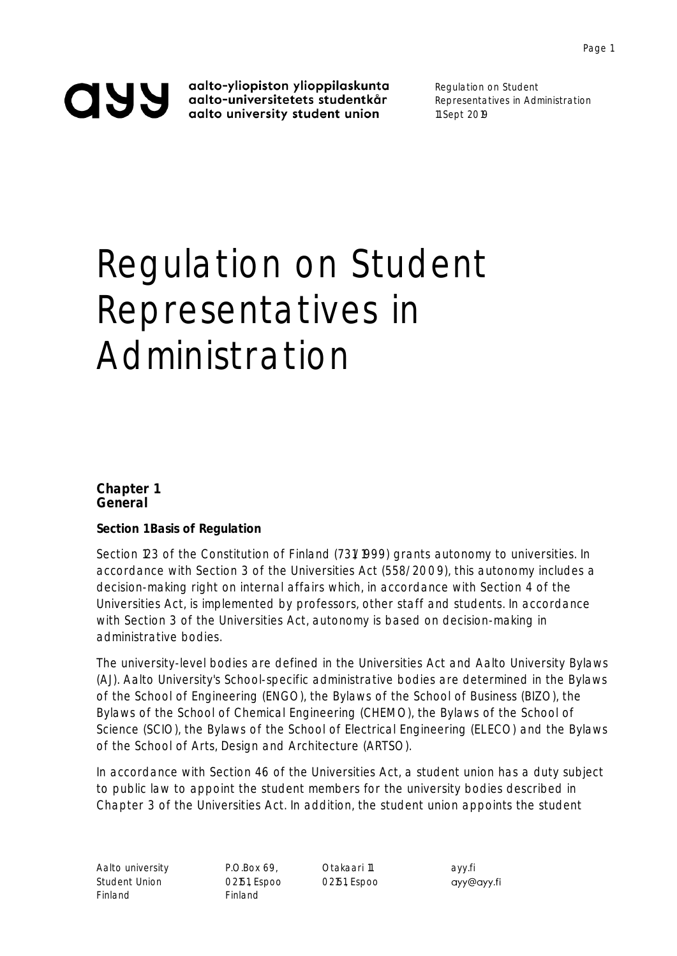aalto-yliopiston ylioppilaskunta aalto-universitetets studentkår aalto university student union

Regulation on Student Representatives in Administration 11 Sept 2019

# Regulation on Student Representatives in Administration

**Chapter 1 General**

**Section 1 Basis of Regulation**

Section 123 of the Constitution of Finland (731/1999) grants autonomy to universities. In accordance with Section 3 of the Universities Act (558/2009), this autonomy includes a decision-making right on internal affairs which, in accordance with Section 4 of the Universities Act, is implemented by professors, other staff and students. In accordance with Section 3 of the Universities Act, autonomy is based on decision-making in administrative bodies.

The university-level bodies are defined in the Universities Act and Aalto University Bylaws (AJ). Aalto University's School-specific administrative bodies are determined in the Bylaws of the School of Engineering (ENGO), the Bylaws of the School of Business (BIZO), the Bylaws of the School of Chemical Engineering (CHEMO), the Bylaws of the School of Science (SCIO), the Bylaws of the School of Electrical Engineering (ELECO) and the Bylaws of the School of Arts, Design and Architecture (ARTSO).

In accordance with Section 46 of the Universities Act, a student union has a duty subject to public law to appoint the student members for the university bodies described in Chapter 3 of the Universities Act. In addition, the student union appoints the student

Aalto university **P.O.Box 69, Calculari 11** ayy.fi Student Union 02151, Espoo 02151, Espoo Finland Finland

ayy@ayy.fi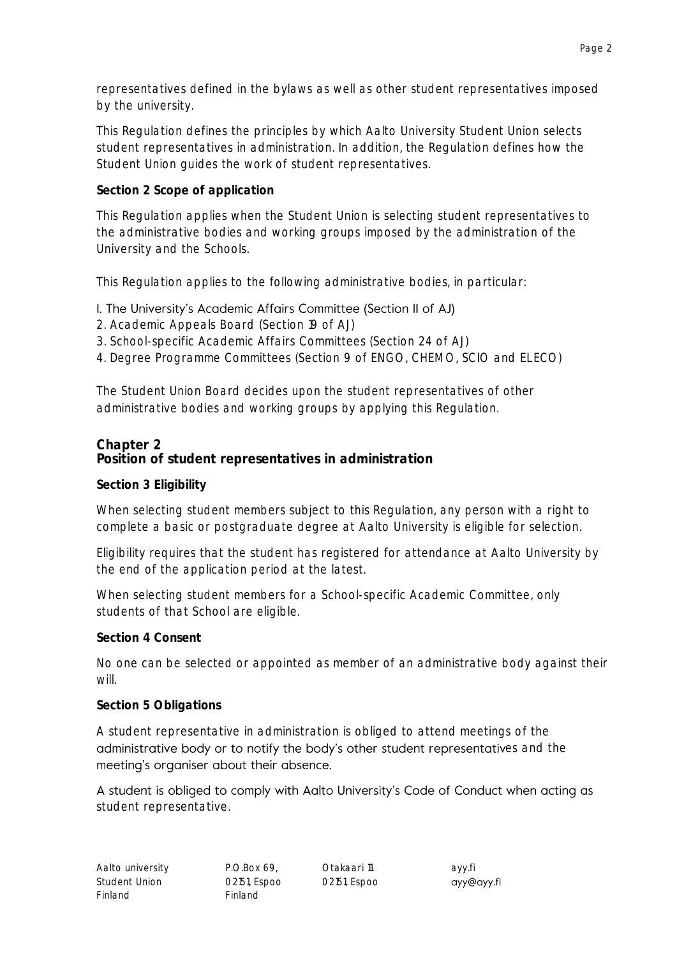representatives defined in the bylaws as well as other student representatives imposed by the university.

This Regulation defines the principles by which Aalto University Student Union selects student representatives in administration. In addition, the Regulation defines how the Student Union guides the work of student representatives.

**Section 2 Scope of application**

This Regulation applies when the Student Union is selecting student representatives to the administrative bodies and working groups imposed by the administration of the University and the Schools.

This Regulation applies to the following administrative bodies, in particular:

## I. The University's Academic Affairs Committee (Section II of AJ)

- 2. Academic Appeals Board (Section 19 of AJ)
- 3. School-specific Academic Affairs Committees (Section 24 of AJ)
- 4. Degree Programme Committees (Section 9 of ENGO, CHEMO, SCIO and ELECO)

The Student Union Board decides upon the student representatives of other administrative bodies and working groups by applying this Regulation.

**Chapter 2 Position of student representatives in administration**

**Section 3 Eligibility**

When selecting student members subject to this Regulation, any person with a right to complete a basic or postgraduate degree at Aalto University is eligible for selection.

Eligibility requires that the student has registered for attendance at Aalto University by the end of the application period at the latest.

When selecting student members for a School-specific Academic Committee, only students of that School are eligible.

**Section 4 Consent**

No one can be selected or appointed as member of an administrative body against their will.

**Section 5 Obligations**

A student representative in administration is obliged to attend meetings of the administrative body or to notify the body's other student representatives and the meeting's organiser about their absence.

A student is obliged to comply with Aalto University's Code of Conduct when acting as student representative.

ayy@ayy.fi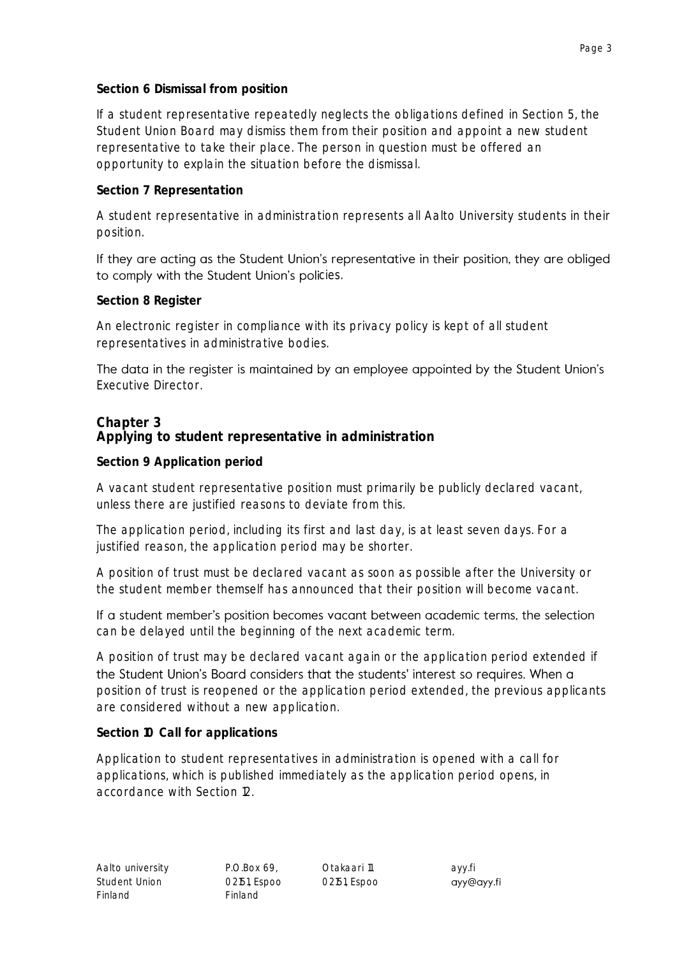If a student representative repeatedly neglects the obligations defined in Section 5, the Student Union Board may dismiss them from their position and appoint a new student representative to take their place. The person in question must be offered an opportunity to explain the situation before the dismissal.

**Section 7 Representation**

A student representative in administration represents all Aalto University students in their position.

If they are acting as the Student Union's representative in their position, they are obliged to comply with the Student Union's policies.

## **Section 8 Register**

An electronic register in compliance with its privacy policy is kept of all student representatives in administrative bodies.

The data in the register is maintained by an employee appointed by the Student Union's Executive Director.

## **Chapter 3 Applying to student representative in administration**

**Section 9 Application period**

A vacant student representative position must primarily be publicly declared vacant, unless there are justified reasons to deviate from this.

The application period, including its first and last day, is at least seven days. For a justified reason, the application period may be shorter.

A position of trust must be declared vacant as soon as possible after the University or the student member themself has announced that their position will become vacant.

If a student member's position becomes vacant between academic terms, the selection can be delayed until the beginning of the next academic term.

A position of trust may be declared vacant again or the application period extended if the Student Union's Board considers that the students' interest so requires. When a position of trust is reopened or the application period extended, the previous applicants are considered without a new application.

**Section 10 Call for applications**

Application to student representatives in administration is opened with a call for applications, which is published immediately as the application period opens, in accordance with Section 12.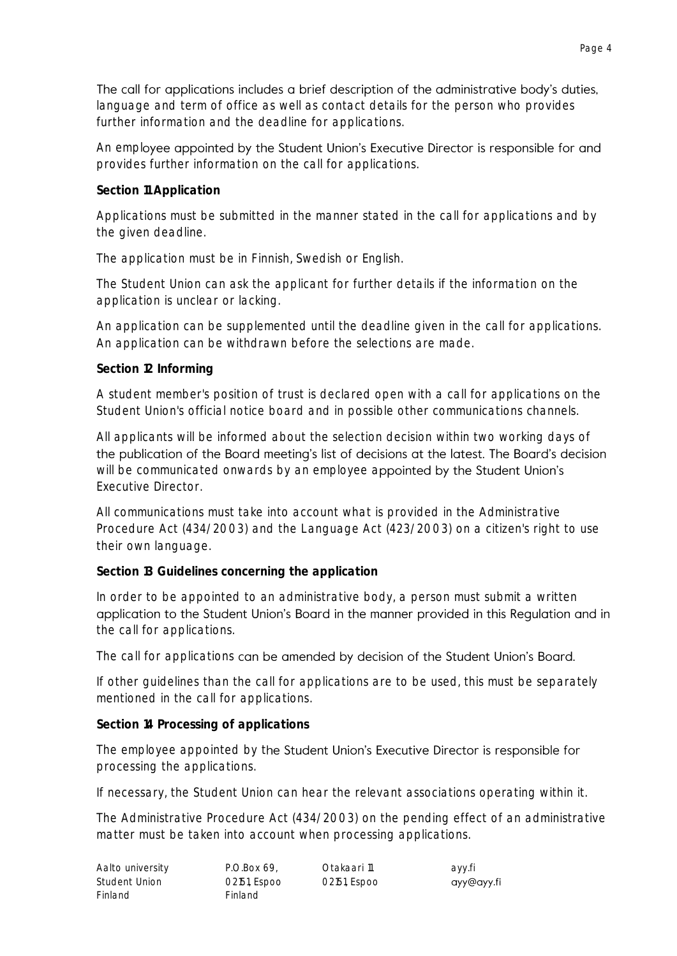The call for applications includes a brief description of the administrative body's duties, language and term of office as well as contact details for the person who provides further information and the deadline for applications.

An employee appointed by the Student Union's Executive Director is responsible for and provides further information on the call for applications.

**Section 11 Application**

Applications must be submitted in the manner stated in the call for applications and by the given deadline.

The application must be in Finnish, Swedish or English.

The Student Union can ask the applicant for further details if the information on the application is unclear or lacking.

An application can be supplemented until the deadline given in the call for applications. An application can be withdrawn before the selections are made.

**Section 12 Informing**

A student member's position of trust is declared open with a call for applications on the Student Union's official notice board and in possible other communications channels.

All applicants will be informed about the selection decision within two working days of the publication of the Board meeting's list of decisions at the latest. The Board's decision will be communicated onwards by an employee appointed by the Student Union's Executive Director.

All communications must take into account what is provided in the Administrative Procedure Act (434/2003) and the Language Act (423/2003) on a citizen's right to use their own language.

**Section 13 Guidelines concerning the application**

In order to be appointed to an administrative body, a person must submit a written application to the Student Union's Board in the manner provided in this Regulation and in the call for applications.

The call for applications can be amended by decision of the Student Union's Board.

If other guidelines than the call for applications are to be used, this must be separately mentioned in the call for applications.

**Section 14 Processing of applications**

The employee appointed by the Student Union's Executive Director is responsible for processing the applications.

If necessary, the Student Union can hear the relevant associations operating within it.

The Administrative Procedure Act (434/2003) on the pending effect of an administrative matter must be taken into account when processing applications.

| Aalto university | P.O.Box 69.    | Otakaari 11  | ayy.fi     |
|------------------|----------------|--------------|------------|
| Student Union    | 02151, Espoo   | 02151, Espoo | ayy@ayy.fi |
| Finland          | <b>Finland</b> |              |            |